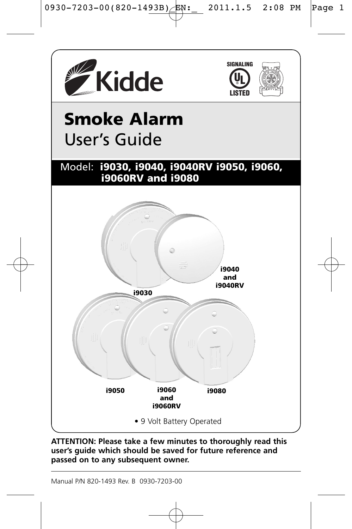





# **Smoke Alarm**  User's Guide

### Model: **i9030, i9040, i9040RV i9050, i9060, i9060RV and i9080**



**ATTENTION: Please take a few minutes to thoroughly read this user's guide which should be saved for future reference and passed on to any subsequent owner.**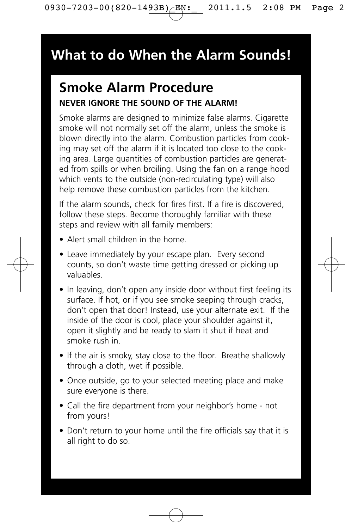# **What to do When the Alarm Sounds!**

# **Smoke Alarm Procedure NEVER IGNORE THE SOUND OF THE ALARM!**

Smoke alarms are designed to minimize false alarms. Cigarette smoke will not normally set off the alarm, unless the smoke is blown directly into the alarm. Combustion particles from cooking may set off the alarm if it is located too close to the cooking area. Large quantities of combustion particles are generated from spills or when broiling. Using the fan on a range hood which vents to the outside (non-recirculating type) will also help remove these combustion particles from the kitchen.

If the alarm sounds, check for fires first. If a fire is discovered, follow these steps. Become thoroughly familiar with these steps and review with all family members:

- Alert small children in the home.
- Leave immediately by your escape plan. Every second counts, so don't waste time getting dressed or picking up valuables.
- In leaving, don't open any inside door without first feeling its surface. If hot, or if you see smoke seeping through cracks, don't open that door! Instead, use your alternate exit. If the inside of the door is cool, place your shoulder against it, open it slightly and be ready to slam it shut if heat and smoke rush in.
- If the air is smoky, stay close to the floor. Breathe shallowly through a cloth, wet if possible.
- Once outside, go to your selected meeting place and make sure everyone is there.
- Call the fire department from your neighbor's home not from yours!
- Don't return to your home until the fire officials say that it is all right to do so.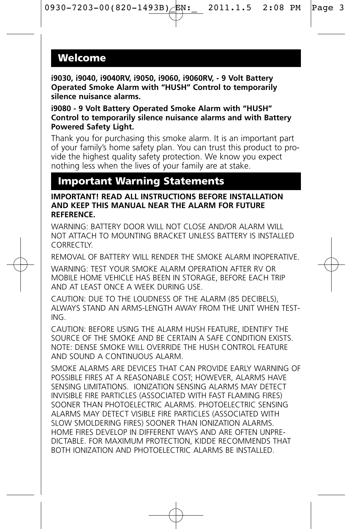### **Welcome**

**i9030, i9040, i9040RV, i9050, i9060, i9060RV, - 9 Volt Battery Operated Smoke Alarm with "HUSH" Control to temporarily silence nuisance alarms.**

**i9080 - 9 Volt Battery Operated Smoke Alarm with "HUSH" Control to temporarily silence nuisance alarms and with Battery Powered Safety Light.**

Thank you for purchasing this smoke alarm. It is an important part of your family's home safety plan. You can trust this product to provide the highest quality safety protection. We know you expect nothing less when the lives of your family are at stake.

### **Important Warning Statements**

#### **IMPORTANT! READ ALL INSTRUCTIONS BEFORE INSTALLATION AND KEEP THIS MANUAL NEAR THE ALARM FOR FUTURE REFERENCE.**

WARNING: BATTERY DOOR WILL NOT CLOSE AND/OR ALARM WILL NOT ATTACH TO MOUNTING BRACKET UNLESS BATTERY IS INSTALLED **CORRECTIY** 

REMOVAL OF BATTERY WILL RENDER THE SMOKE ALARM INOPERATIVE.

WARNING: TEST YOUR SMOKE ALARM OPERATION AFTER RV OR MOBILE HOME VEHICLE HAS BEEN IN STORAGE, BEFORE EACH TRIP AND AT LEAST ONCE A WEEK DURING USE.

CAUTION: DUE TO THE LOUDNESS OF THE ALARM (85 DECIBELS), ALWAYS STAND AN ARMS-LENGTH AWAY FROM THE UNIT WHEN TEST-ING.

CAUTION: BEFORE USING THE ALARM HUSH FEATURE, IDENTIFY THE SOURCE OF THE SMOKE AND BE CERTAIN A SAFE CONDITION EXISTS. NOTE: DENSE SMOKE WILL OVERRIDE THE HUSH CONTROL FEATURE AND SOUND A CONTINUOUS ALARM.

SMOKE ALARMS ARE DEVICES THAT CAN PROVIDE EARLY WARNING OF POSSIBLE FIRES AT A REASONABLE COST; HOWEVER, ALARMS HAVE SENSING LIMITATIONS. IONIZATION SENSING ALARMS MAY DETECT INVISIBLE FIRE PARTICLES (ASSOCIATED WITH FAST FLAMING FIRES) SOONER THAN PHOTOELECTRIC ALARMS. PHOTOELECTRIC SENSING ALARMS MAY DETECT VISIBLE FIRE PARTICLES (ASSOCIATED WITH SLOW SMOLDERING FIRES) SOONER THAN IONIZATION ALARMS. HOME FIRES DEVELOP IN DIFFERENT WAYS AND ARE OFTEN UNPRE-DICTABLE. FOR MAXIMUM PROTECTION, KIDDE RECOMMENDS THAT BOTH IONIZATION AND PHOTOELECTRIC ALARMS BE INSTALLED.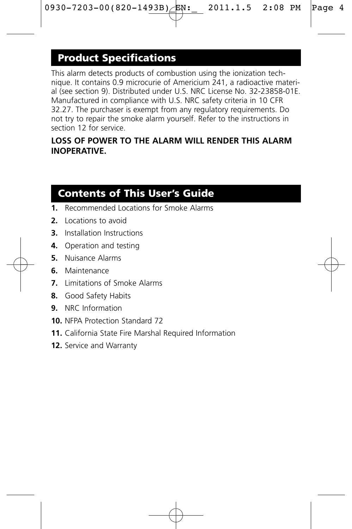# **Product Specifications**

This alarm detects products of combustion using the ionization technique. It contains 0.9 microcurie of Americium 241, a radioactive material (see section 9). Distributed under U.S. NRC License No. 32-23858-01E. Manufactured in compliance with U.S. NRC safety criteria in 10 CFR 32.27. The purchaser is exempt from any regulatory requirements. Do not try to repair the smoke alarm yourself. Refer to the instructions in section 12 for service.

### **LOSS OF POWER TO THE ALARM WILL RENDER THIS ALARM INOPERATIVE.**

### **Contents of This User's Guide**

- **1.** Recommended Locations for Smoke Alarms
- **2.** Locations to avoid
- **3.** Installation Instructions
- **4.** Operation and testing
- **5.** Nuisance Alarms
- **6.** Maintenance
- **7.** Limitations of Smoke Alarms
- **8.** Good Safety Habits
- **9.** NRC Information
- **10.** NFPA Protection Standard 72
- **11.** California State Fire Marshal Required Information
- **12.** Service and Warranty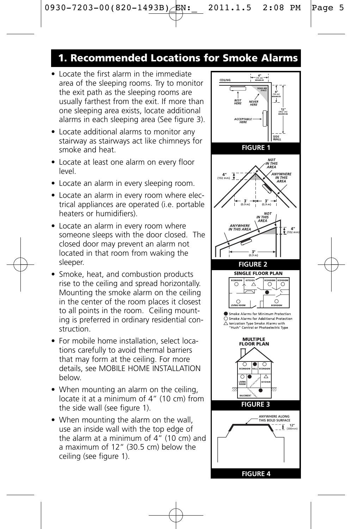### **1. Recommended Locations for Smoke Alarms**

- Locate the first alarm in the immediate area of the sleeping rooms. Try to monitor the exit path as the sleeping rooms are usually farthest from the exit. If more than one sleeping area exists, locate additional alarms in each sleeping area (See figure 3).
- Locate additional alarms to monitor any stairway as stairways act like chimneys for smoke and heat.
- Locate at least one alarm on every floor level.
- Locate an alarm in every sleeping room.
- Locate an alarm in every room where electrical appliances are operated (i.e. portable heaters or humidifiers).
- Locate an alarm in every room where someone sleeps with the door closed. The closed door may prevent an alarm not located in that room from waking the sleeper.
- Smoke, heat, and combustion products rise to the ceiling and spread horizontally. Mounting the smoke alarm on the ceiling in the center of the room places it closest to all points in the room. Ceiling mounting is preferred in ordinary residential construction.
- For mobile home installation, select locations carefully to avoid thermal barriers that may form at the ceiling. For more details, see MOBILE HOME INSTALLATION below.
- When mounting an alarm on the ceiling. locate it at a minimum of 4" (10 cm) from the side wall (see figure 1).
- When mounting the alarm on the wall, use an inside wall with the top edge of the alarm at a minimum of 4" (10 cm) and a maximum of 12" (30.5 cm) below the ceiling (see figure 1).

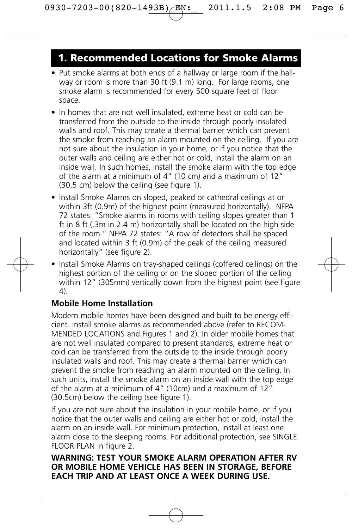### **1. Recommended Locations for Smoke Alarms**

- Put smoke alarms at both ends of a hallway or large room if the hallway or room is more than 30 ft (9.1 m) long. For large rooms, one smoke alarm is recommended for every 500 square feet of floor space.
- In homes that are not well insulated, extreme heat or cold can be transferred from the outside to the inside through poorly insulated walls and roof. This may create a thermal barrier which can prevent the smoke from reaching an alarm mounted on the ceiling. If you are not sure about the insulation in your home, or if you notice that the outer walls and ceiling are either hot or cold, install the alarm on an inside wall. In such homes, install the smoke alarm with the top edge of the alarm at a minimum of 4" (10 cm) and a maximum of 12" (30.5 cm) below the ceiling (see figure 1).
- Install Smoke Alarms on sloped, peaked or cathedral ceilings at or within 3ft (0.9m) of the highest point (measured horizontally). NFPA 72 states: "Smoke alarms in rooms with ceiling slopes greater than 1 ft in 8 ft (.3m in 2.4 m) horizontally shall be located on the high side of the room." NFPA 72 states: "A row of detectors shall be spaced and located within 3 ft (0.9m) of the peak of the ceiling measured horizontally" (see figure 2).
- Install Smoke Alarms on tray-shaped ceilings (coffered ceilings) on the highest portion of the ceiling or on the sloped portion of the ceiling within 12" (305mm) vertically down from the highest point (see figure  $\Delta$

### **Mobile Home Installation**

Modern mobile homes have been designed and built to be energy efficient. Install smoke alarms as recommended above (refer to RECOM-MENDED LOCATIONS and Figures 1 and 2). In older mobile homes that are not well insulated compared to present standards, extreme heat or cold can be transferred from the outside to the inside through poorly insulated walls and roof. This may create a thermal barrier which can prevent the smoke from reaching an alarm mounted on the ceiling. In such units, install the smoke alarm on an inside wall with the top edge of the alarm at a minimum of 4" (10cm) and a maximum of 12 $\dot{r}$ (30.5cm) below the ceiling (see figure 1).

If you are not sure about the insulation in your mobile home, or if you notice that the outer walls and ceiling are either hot or cold, install the alarm on an inside wall. For minimum protection, install at least one alarm close to the sleeping rooms. For additional protection, see SINGLE FLOOR PLAN in figure 2.

#### **WARNING: TEST YOUR SMOKE ALARM OPERATION AFTER RV OR MOBILE HOME VEHICLE HAS BEEN IN STORAGE, BEFORE EACH TRIP AND AT LEAST ONCE A WEEK DURING USE.**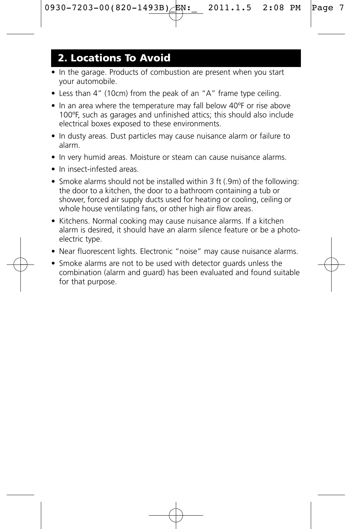### **2. Locations To Avoid**

- In the garage. Products of combustion are present when you start your automobile.
- Less than 4" (10cm) from the peak of an "A" frame type ceiling.
- In an area where the temperature may fall below 40ºF or rise above 100ºF, such as garages and unfinished attics; this should also include electrical boxes exposed to these environments.
- In dusty areas. Dust particles may cause nuisance alarm or failure to alarm.
- In very humid areas. Moisture or steam can cause nuisance alarms.
- In insect-infested areas.
- Smoke alarms should not be installed within 3 ft (.9m) of the following: the door to a kitchen, the door to a bathroom containing a tub or shower, forced air supply ducts used for heating or cooling, ceiling or whole house ventilating fans, or other high air flow areas.
- Kitchens. Normal cooking may cause nuisance alarms. If a kitchen alarm is desired, it should have an alarm silence feature or be a photoelectric type.
- Near fluorescent lights. Electronic "noise" may cause nuisance alarms.
- Smoke alarms are not to be used with detector guards unless the combination (alarm and guard) has been evaluated and found suitable for that purpose.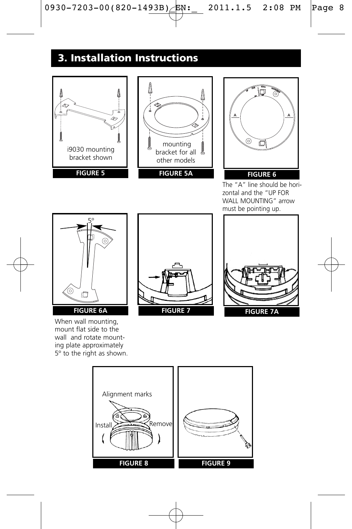# **3. Installation Instructions**







The "A" line should be horizontal and the "UP FOR WALL MOUNTING" arrow must be pointing up.



When wall mounting, mount flat side to the wall and rotate mounting plate approximately 5º to the right as shown.





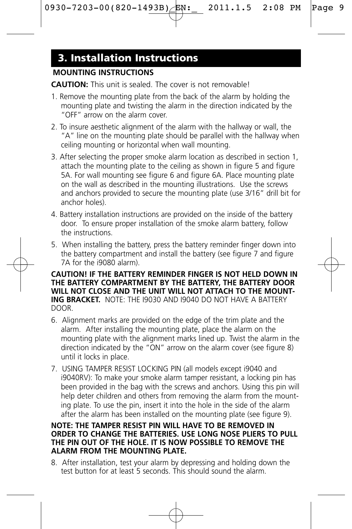# **3. Installation Instructions**

### **MOUNTING INSTRUCTIONS**

**CAUTION:** This unit is sealed. The cover is not removable!

- 1. Remove the mounting plate from the back of the alarm by holding the mounting plate and twisting the alarm in the direction indicated by the "OFF" arrow on the alarm cover.
- 2. To insure aesthetic alignment of the alarm with the hallway or wall, the "A" line on the mounting plate should be parallel with the hallway when ceiling mounting or horizontal when wall mounting.
- 3. After selecting the proper smoke alarm location as described in section 1, attach the mounting plate to the ceiling as shown in figure 5 and figure 5A. For wall mounting see figure 6 and figure 6A. Place mounting plate on the wall as described in the mounting illustrations. Use the screws and anchors provided to secure the mounting plate (use 3/16" drill bit for anchor holes).
- 4. Battery installation instructions are provided on the inside of the battery door. To ensure proper installation of the smoke alarm battery, follow the instructions.
- 5. When installing the battery, press the battery reminder finger down into the battery compartment and install the battery (see figure 7 and figure 7A for the i9080 alarm).

**CAUTION! IF THE BATTERY REMINDER FINGER IS NOT HELD DOWN IN THE BATTERY COMPARTMENT BY THE BATTERY, THE BATTERY DOOR WILL NOT CLOSE AND THE UNIT WILL NOT ATTACH TO THE MOUNT-ING BRACKET.** NOTE: THE I9030 AND I9040 DO NOT HAVE A BATTERY DOOR.

- 6. Alignment marks are provided on the edge of the trim plate and the alarm. After installing the mounting plate, place the alarm on the mounting plate with the alignment marks lined up. Twist the alarm in the direction indicated by the "ON" arrow on the alarm cover (see figure 8) until it locks in place.
- 7. USING TAMPER RESIST LOCKING PIN (all models except i9040 and i9040RV): To make your smoke alarm tamper resistant, a locking pin has been provided in the bag with the screws and anchors. Using this pin will help deter children and others from removing the alarm from the mounting plate. To use the pin, insert it into the hole in the side of the alarm after the alarm has been installed on the mounting plate (see figure 9).

#### **NOTE: THE TAMPER RESIST PIN WILL HAVE TO BE REMOVED IN ORDER TO CHANGE THE BATTERIES. USE LONG NOSE PLIERS TO PULL THE PIN OUT OF THE HOLE. IT IS NOW POSSIBLE TO REMOVE THE ALARM FROM THE MOUNTING PLATE.**

8. After installation, test your alarm by depressing and holding down the test button for at least 5 seconds. This should sound the alarm.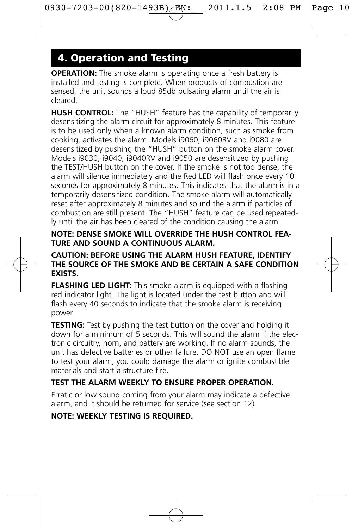# **4. Operation and Testing**

**OPERATION:** The smoke alarm is operating once a fresh battery is installed and testing is complete. When products of combustion are sensed, the unit sounds a loud 85db pulsating alarm until the air is cleared.

**HUSH CONTROL:** The "HUSH" feature has the capability of temporarily desensitizing the alarm circuit for approximately 8 minutes. This feature is to be used only when a known alarm condition, such as smoke from cooking, activates the alarm. Models i9060, i9060RV and i9080 are desensitized by pushing the "HUSH" button on the smoke alarm cover. Models i9030, i9040, i9040RV and i9050 are desensitized by pushing the TEST/HUSH button on the cover. If the smoke is not too dense, the alarm will silence immediately and the Red LED will flash once every 10 seconds for approximately 8 minutes. This indicates that the alarm is in a temporarily desensitized condition. The smoke alarm will automatically reset after approximately 8 minutes and sound the alarm if particles of combustion are still present. The "HUSH" feature can be used repeatedly until the air has been cleared of the condition causing the alarm.

#### **NOTE: DENSE SMOKE WILL OVERRIDE THE HUSH CONTROL FEA-TURE AND SOUND A CONTINUOUS ALARM.**

#### **CAUTION: BEFORE USING THE ALARM HUSH FEATURE, IDENTIFY THE SOURCE OF THE SMOKE AND BE CERTAIN A SAFE CONDITION EXISTS.**

**FLASHING LED LIGHT:** This smoke alarm is equipped with a flashing red indicator light. The light is located under the test button and will flash every 40 seconds to indicate that the smoke alarm is receiving power.

**TESTING:** Test by pushing the test button on the cover and holding it down for a minimum of 5 seconds. This will sound the alarm if the electronic circuitry, horn, and battery are working. If no alarm sounds, the unit has defective batteries or other failure. DO NOT use an open flame to test your alarm, you could damage the alarm or ignite combustible materials and start a structure fire.

### **TEST THE ALARM WEEKLY TO ENSURE PROPER OPERATION.**

Erratic or low sound coming from your alarm may indicate a defective alarm, and it should be returned for service (see section 12).

### **NOTE: WEEKLY TESTING IS REQUIRED.**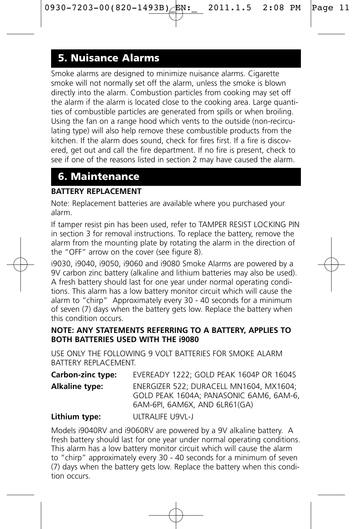# **5. Nuisance Alarms**

Smoke alarms are designed to minimize nuisance alarms. Cigarette smoke will not normally set off the alarm, unless the smoke is blown directly into the alarm. Combustion particles from cooking may set off the alarm if the alarm is located close to the cooking area. Large quantities of combustible particles are generated from spills or when broiling. Using the fan on a range hood which vents to the outside (non-recirculating type) will also help remove these combustible products from the kitchen. If the alarm does sound, check for fires first. If a fire is discovered, get out and call the fire department. If no fire is present, check to see if one of the reasons listed in section 2 may have caused the alarm.

### **6. Maintenance**

#### **BATTERY REPLACEMENT**

Note: Replacement batteries are available where you purchased your alarm.

If tamper resist pin has been used, refer to TAMPER RESIST LOCKING PIN in section 3 for removal instructions. To replace the battery, remove the alarm from the mounting plate by rotating the alarm in the direction of the "OFF" arrow on the cover (see figure 8).

i9030, i9040, i9050, i9060 and i9080 Smoke Alarms are powered by a 9V carbon zinc battery (alkaline and lithium batteries may also be used). A fresh battery should last for one year under normal operating conditions. This alarm has a low battery monitor circuit which will cause the alarm to "chirp" Approximately every 30 - 40 seconds for a minimum of seven (7) days when the battery gets low. Replace the battery when this condition occurs.

#### **NOTE: ANY STATEMENTS REFERRING TO A BATTERY, APPLIES TO BOTH BATTERIES USED WITH THE i9080**

USE ONLY THE FOLLOWING 9 VOLT BATTERIES FOR SMOKE ALARM BATTERY REPLACEMENT.

| Carbon-zinc type: | EVEREADY 1222: GOLD PEAK 1604P OR 1604S                                                                            |
|-------------------|--------------------------------------------------------------------------------------------------------------------|
| Alkaline type:    | ENERGIZER 522: DURACELL MN1604, MX1604:<br>GOLD PEAK 1604A: PANASONIC 6AM6, 6AM-6,<br>6AM-6PL 6AM6X, AND 6LR61(GA) |
| Lithium tyne:     | <b>I II TRAI IEE I IQVILI</b>                                                                                      |

#### **Lithium type:** ULTRALIFE U9VL-J

Models i9040RV and i9060RV are powered by a 9V alkaline battery. A fresh battery should last for one year under normal operating conditions. This alarm has a low battery monitor circuit which will cause the alarm to "chirp" approximately every 30 - 40 seconds for a minimum of seven (7) days when the battery gets low. Replace the battery when this condition occurs.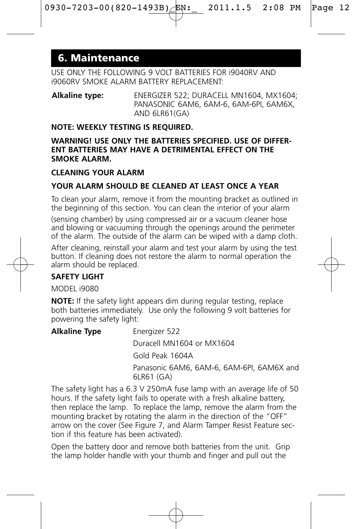### **6. Maintenance**

USE ONLY THE FOLLOWING 9 VOLT BATTERIES FOR i9040RV AND i9060RV SMOKE ALARM BATTERY REPLACEMENT:

**Alkaline type:** ENERGIZER 522; DURACELL MN1604, MX1604; PANASONIC 6AM6, 6AM-6, 6AM-6PI, 6AM6X, AND 6LR61(GA)

#### **NOTE: WEEKLY TESTING IS REQUIRED.**

#### **WARNING! USE ONLY THE BATTERIES SPECIFIED. USE OF DIFFER-ENT BATTERIES MAY HAVE A DETRIMENTAL EFFECT ON THE SMOKE ALARM.**

#### **CLEANING YOUR ALARM**

#### **YOUR ALARM SHOULD BE CLEANED AT LEAST ONCE A YEAR**

To clean your alarm, remove it from the mounting bracket as outlined in the beginning of this section. You can clean the interior of your alarm

(sensing chamber) by using compressed air or a vacuum cleaner hose and blowing or vacuuming through the openings around the perimeter of the alarm. The outside of the alarm can be wiped with a damp cloth.

After cleaning, reinstall your alarm and test your alarm by using the test button. If cleaning does not restore the alarm to normal operation the alarm should be replaced.

#### **SAFETY LIGHT**

MODEL **i9080** 

**NOTE:** If the safety light appears dim during regular testing, replace both batteries immediately. Use only the following 9 volt batteries for powering the safety light:

| <b>Alkaline Type</b> | Energizer 522                                          |
|----------------------|--------------------------------------------------------|
|                      | Duracell MN1604 or MX1604                              |
|                      | Gold Peak 1604A                                        |
|                      | Panasonic 6AM6, 6AM-6, 6AM-6PL 6AM6X and<br>6LR61 (GA) |
|                      |                                                        |

The safety light has a 6.3 V 250mA fuse lamp with an average life of 50 hours. If the safety light fails to operate with a fresh alkaline battery, then replace the lamp. To replace the lamp, remove the alarm from the mounting bracket by rotating the alarm in the direction of the "OFF" arrow on the cover (See Figure 7, and Alarm Tamper Resist Feature section if this feature has been activated).

Open the battery door and remove both batteries from the unit. Grip the lamp holder handle with your thumb and finger and pull out the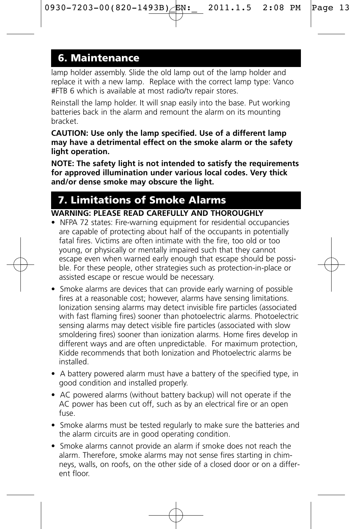### **6. Maintenance**

lamp holder assembly. Slide the old lamp out of the lamp holder and replace it with a new lamp. Replace with the correct lamp type: Vanco #FTB 6 which is available at most radio/tv repair stores.

Reinstall the lamp holder. It will snap easily into the base. Put working batteries back in the alarm and remount the alarm on its mounting bracket.

**CAUTION: Use only the lamp specified. Use of a different lamp may have a detrimental effect on the smoke alarm or the safety light operation.**

**NOTE: The safety light is not intended to satisfy the requirements for approved illumination under various local codes. Very thick and/or dense smoke may obscure the light.**

# **7. Limitations of Smoke Alarms**

### **WARNING: PLEASE READ CAREFULLY AND THOROUGHLY**

- NFPA 72 states: Fire-warning equipment for residential occupancies are capable of protecting about half of the occupants in potentially fatal fires. Victims are often intimate with the fire, too old or too young, or physically or mentally impaired such that they cannot escape even when warned early enough that escape should be possible. For these people, other strategies such as protection-in-place or assisted escape or rescue would be necessary.
- Smoke alarms are devices that can provide early warning of possible fires at a reasonable cost; however, alarms have sensing limitations. Ionization sensing alarms may detect invisible fire particles (associated with fast flaming fires) sooner than photoelectric alarms. Photoelectric sensing alarms may detect visible fire particles (associated with slow smoldering fires) sooner than ionization alarms. Home fires develop in different ways and are often unpredictable. For maximum protection, Kidde recommends that both Ionization and Photoelectric alarms be installed.
- A battery powered alarm must have a battery of the specified type, in good condition and installed properly.
- AC powered alarms (without battery backup) will not operate if the AC power has been cut off, such as by an electrical fire or an open fuse.
- Smoke alarms must be tested regularly to make sure the batteries and the alarm circuits are in good operating condition.
- Smoke alarms cannot provide an alarm if smoke does not reach the alarm. Therefore, smoke alarms may not sense fires starting in chimneys, walls, on roofs, on the other side of a closed door or on a different floor.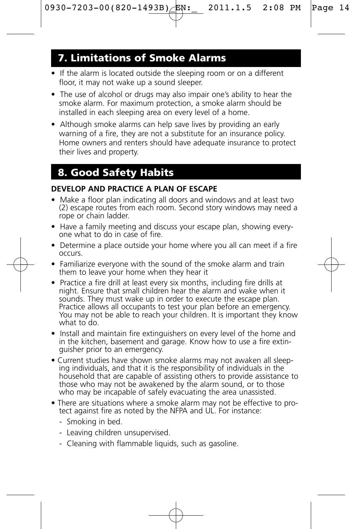### **7. Limitations of Smoke Alarms**

- If the alarm is located outside the sleeping room or on a different floor, it may not wake up a sound sleeper.
- The use of alcohol or drugs may also impair one's ability to hear the smoke alarm. For maximum protection, a smoke alarm should be installed in each sleeping area on every level of a home.
- Although smoke alarms can help save lives by providing an early warning of a fire, they are not a substitute for an insurance policy. Home owners and renters should have adequate insurance to protect their lives and property.

# **8. Good Safety Habits**

#### **DEVELOP AND PRACTICE A PLAN OF ESCAPE**

- Make a floor plan indicating all doors and windows and at least two (2) escape routes from each room. Second story windows may need a rope or chain ladder.
- Have a family meeting and discuss your escape plan, showing everyone what to do in case of fire.
- Determine a place outside your home where you all can meet if a fire occurs.
- Familiarize everyone with the sound of the smoke alarm and train them to leave your home when they hear it
- Practice a fire drill at least every six months, including fire drills at night. Ensure that small children hear the alarm and wake when it sounds. They must wake up in order to execute the escape plan. Practice allows all occupants to test your plan before an emergency. You may not be able to reach your children. It is important they know what to do.
- Install and maintain fire extinguishers on every level of the home and in the kitchen, basement and garage. Know how to use a fire extinguisher prior to an emergency.
- Current studies have shown smoke alarms may not awaken all sleeping individuals, and that it is the responsibility of individuals in the household that are capable of assisting others to provide assistance to those who may not be awakened by the alarm sound, or to those who may be incapable of safely evacuating the area unassisted.
- There are situations where a smoke alarm may not be effective to protect against fire as noted by the NFPA and UL. For instance:
	- Smoking in bed.
	- Leaving children unsupervised.
	- Cleaning with flammable liquids, such as gasoline.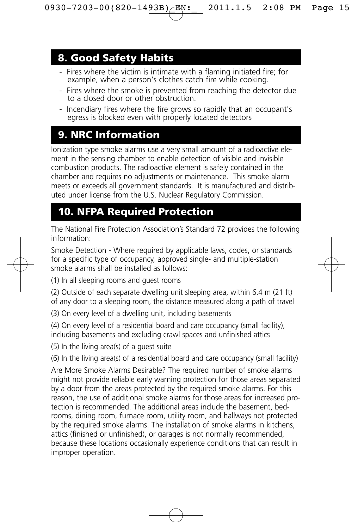### **8. Good Safety Habits**

- Fires where the victim is intimate with a flaming initiated fire; for example, when a person's clothes catch fire while cooking.
- Fires where the smoke is prevented from reaching the detector due to a closed door or other obstruction.
- Incendiary fires where the fire grows so rapidly that an occupant's egress is blocked even with properly located detectors

# **9. NRC Information**

Ionization type smoke alarms use a very small amount of a radioactive element in the sensing chamber to enable detection of visible and invisible combustion products. The radioactive element is safely contained in the chamber and requires no adjustments or maintenance. This smoke alarm meets or exceeds all government standards. It is manufactured and distributed under license from the U.S. Nuclear Regulatory Commission.

# **10. NFPA Required Protection**

The National Fire Protection Association's Standard 72 provides the following information:

Smoke Detection - Where required by applicable laws, codes, or standards for a specific type of occupancy, approved single- and multiple-station smoke alarms shall be installed as follows:

(1) In all sleeping rooms and guest rooms

(2) Outside of each separate dwelling unit sleeping area, within 6.4 m (21 ft) of any door to a sleeping room, the distance measured along a path of travel

(3) On every level of a dwelling unit, including basements

(4) On every level of a residential board and care occupancy (small facility), including basements and excluding crawl spaces and unfinished attics

(5) In the living area(s) of a guest suite

(6) In the living area(s) of a residential board and care occupancy (small facility)

Are More Smoke Alarms Desirable? The required number of smoke alarms might not provide reliable early warning protection for those areas separated by a door from the areas protected by the required smoke alarms. For this reason, the use of additional smoke alarms for those areas for increased protection is recommended. The additional areas include the basement, bedrooms, dining room, furnace room, utility room, and hallways not protected by the required smoke alarms. The installation of smoke alarms in kitchens, attics (finished or unfinished), or garages is not normally recommended, because these locations occasionally experience conditions that can result in improper operation.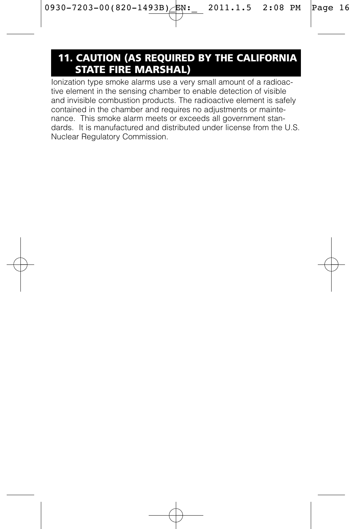### **11. CAUTION (AS REQUIRED BY THE CALIFORNIA STATE FIRE MARSHAL)**

Ionization type smoke alarms use a very small amount of a radioactive element in the sensing chamber to enable detection of visible and invisible combustion products. The radioactive element is safely contained in the chamber and requires no adjustments or maintenance. This smoke alarm meets or exceeds all government standards. It is manufactured and distributed under license from the U.S. Nuclear Regulatory Commission.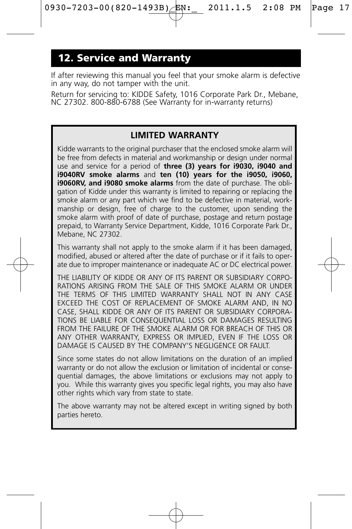### **12. Service and Warranty**

If after reviewing this manual you feel that your smoke alarm is defective in any way, do not tamper with the unit.

Return for servicing to: KIDDE Safety, 1016 Corporate Park Dr., Mebane, NC 27302. 800-880-6788 (See Warranty for in-warranty returns)

### **LIMITED WARRANTY**

Kidde warrants to the original purchaser that the enclosed smoke alarm will be free from defects in material and workmanship or design under normal use and service for a period of **three (3) years for i9030, i9040 and i9040RV smoke alarms** and **ten (10) years for the i9050, i9060, i9060RV, and i9080 smoke alarms** from the date of purchase. The obligation of Kidde under this warranty is limited to repairing or replacing the smoke alarm or any part which we find to be defective in material, workmanship or design, free of charge to the customer, upon sending the smoke alarm with proof of date of purchase, postage and return postage prepaid, to Warranty Service Department, Kidde, 1016 Corporate Park Dr., Mebane, NC 27302.

This warranty shall not apply to the smoke alarm if it has been damaged. modified, abused or altered after the date of purchase or if it fails to operate due to improper maintenance or inadequate AC or DC electrical power.

THE LIABILITY OF KIDDE OR ANY OF ITS PARENT OR SUBSIDIARY CORPO-RATIONS ARISING FROM THE SALE OF THIS SMOKE ALARM OR UNDER THE TERMS OF THIS LIMITED WARRANTY SHALL NOT IN ANY CASE EXCEED THE COST OF REPLACEMENT OF SMOKE ALARM AND, IN NO CASE, SHALL KIDDE OR ANY OF ITS PARENT OR SUBSIDIARY CORPORA-TIONS BE LIABLE FOR CONSEQUENTIAL LOSS OR DAMAGES RESULTING FROM THE FAILURE OF THE SMOKE ALARM OR FOR BREACH OF THIS OR ANY OTHER WARRANTY, EXPRESS OR IMPLIED, EVEN IF THE LOSS OR DAMAGE IS CAUSED BY THE COMPANY'S NEGLIGENCE OR FAULT.

Since some states do not allow limitations on the duration of an implied warranty or do not allow the exclusion or limitation of incidental or consequential damages, the above limitations or exclusions may not apply to you. While this warranty gives you specific legal rights, you may also have other rights which vary from state to state.

The above warranty may not be altered except in writing signed by both parties hereto.